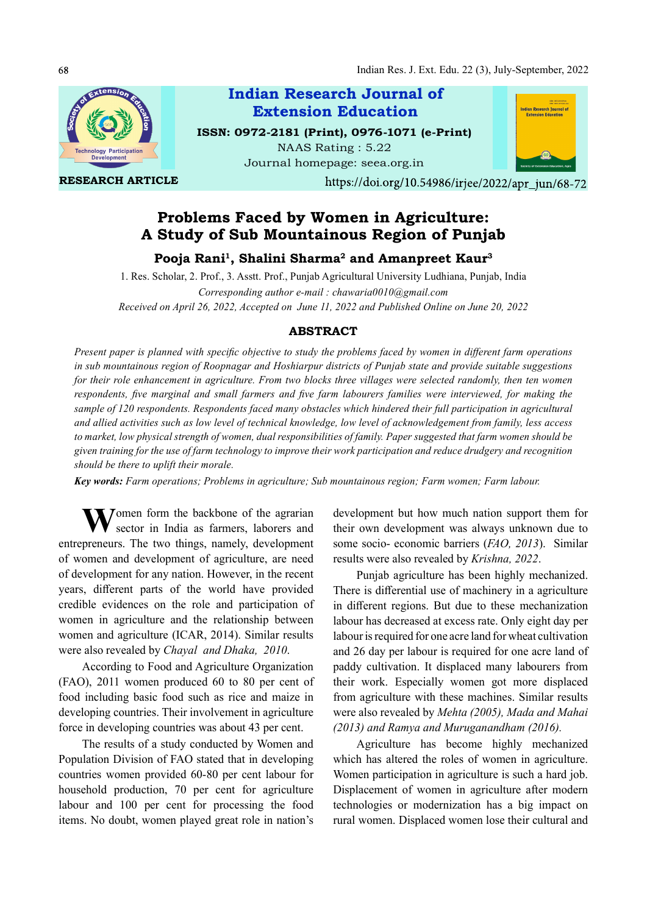

RESEARCH ARTICLE

Indian Research Journal of ISSN: 0972-2181 (Print), 0976-1071 (e-Print) Extension Education

NAAS Rating : 5.22 Journal homepage: seea.org.in



https://doi.org/10.54986/irjee/2022/apr\_jun/68-72

# Problems Faced by Women in Agriculture: A Study of Sub Mountainous Region of Punjab

Pooja Rani<sup>1</sup>, Shalini Sharma<sup>2</sup> and Amanpreet Kaur<sup>3</sup>

1. Res. Scholar, 2. Prof., 3. Asstt. Prof., Punjab Agricultural University Ludhiana, Punjab, India Corresponding author e-mail : chawaria0010@gmail.com Received on April 26, 2022, Accepted on June 11, 2022 and Published Online on June 20, 2022

### ABSTRACT

Present paper is planned with specific objective to study the problems faced by women in different farm operations in sub mountainous region of Roopnagar and Hoshiarpur districts of Punjab state and provide suitable suggestions for their role enhancement in agriculture. From two blocks three villages were selected randomly, then ten women respondents, five marginal and small farmers and five farm labourers families were interviewed, for making the sample of 120 respondents. Respondents faced many obstacles which hindered their full participation in agricultural and allied activities such as low level of technical knowledge, low level of acknowledgement from family, less access to market, low physical strength of women, dual responsibilities of family. Paper suggested that farm women should be given training for the use of farm technology to improve their work participation and reduce drudgery and recognition should be there to uplift their morale.

Key words: Farm operations; Problems in agriculture; Sub mountainous region; Farm women; Farm labour.

Women form the backbone of the agrarian development b<br>sector in India as farmers, laborers and their own deve entrepreneurs. The two things, namely, development of women and development of agriculture, are need of development for any nation. However, in the recent years, different parts of the world have provided credible evidences on the role and participation of women in agriculture and the relationship between women and agriculture (ICAR, 2014). Similar results were also revealed by Chayal and Dhaka, 2010.

According to Food and Agriculture Organization (FAO), 2011 women produced 60 to 80 per cent of food including basic food such as rice and maize in developing countries. Their involvement in agriculture force in developing countries was about 43 per cent.

The results of a study conducted by Women and Population Division of FAO stated that in developing countries women provided 60-80 per cent labour for household production, 70 per cent for agriculture labour and 100 per cent for processing the food items. No doubt, women played great role in nation's development but how much nation support them for their own development was always unknown due to some socio- economic barriers (FAO, 2013). Similar results were also revealed by Krishna, 2022.

Punjab agriculture has been highly mechanized. There is differential use of machinery in a agriculture in different regions. But due to these mechanization labour has decreased at excess rate. Only eight day per labour is required for one acre land for wheat cultivation and 26 day per labour is required for one acre land of paddy cultivation. It displaced many labourers from their work. Especially women got more displaced from agriculture with these machines. Similar results were also revealed by Mehta (2005), Mada and Mahai (2013) and Ramya and Muruganandham (2016).

Agriculture has become highly mechanized which has altered the roles of women in agriculture. Women participation in agriculture is such a hard job. Displacement of women in agriculture after modern technologies or modernization has a big impact on rural women. Displaced women lose their cultural and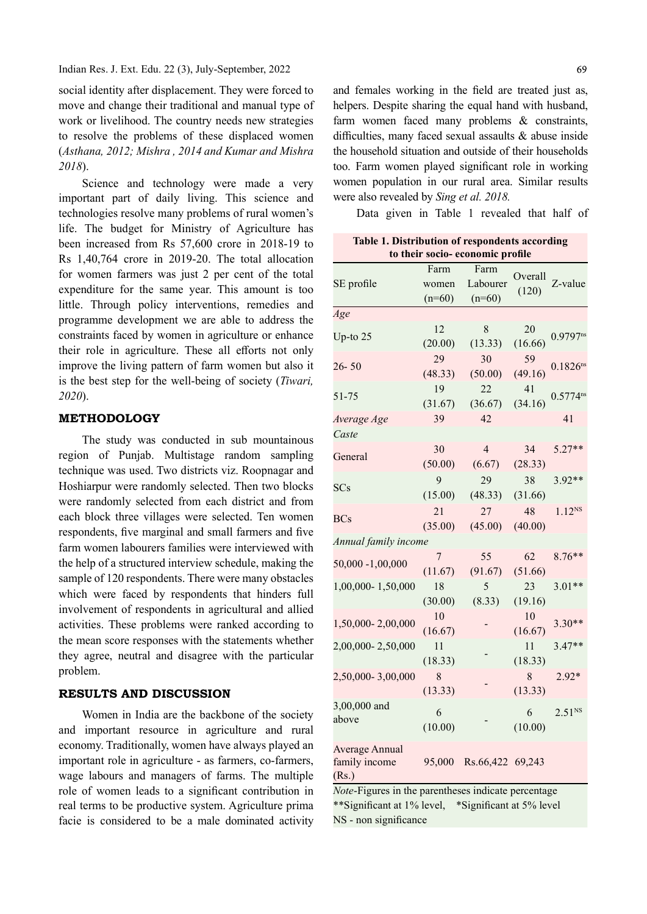social identity after displacement. They were forced to move and change their traditional and manual type of work or livelihood. The country needs new strategies to resolve the problems of these displaced women (Asthana, 2012; Mishra , 2014 and Kumar and Mishra 2018).

Science and technology were made a very important part of daily living. This science and technologies resolve many problems of rural women's life. The budget for Ministry of Agriculture has been increased from Rs 57,600 crore in 2018-19 to Rs 1,40,764 crore in 2019-20. The total allocation for women farmers was just 2 per cent of the total expenditure for the same year. This amount is too little. Through policy interventions, remedies and programme development we are able to address the constraints faced by women in agriculture or enhance their role in agriculture. These all efforts not only improve the living pattern of farm women but also it is the best step for the well-being of society (Tiwari, 2020).

### METHODOLOGY

The study was conducted in sub mountainous region of Punjab. Multistage random sampling technique was used. Two districts viz. Roopnagar and Hoshiarpur were randomly selected. Then two blocks were randomly selected from each district and from each block three villages were selected. Ten women respondents, five marginal and small farmers and five farm women labourers families were interviewed with the help of a structured interview schedule, making the sample of 120 respondents. There were many obstacles which were faced by respondents that hinders full involvement of respondents in agricultural and allied activities. These problems were ranked according to the mean score responses with the statements whether they agree, neutral and disagree with the particular problem.

## RESULTS AND DISCUSSION

Women in India are the backbone of the society and important resource in agriculture and rural economy. Traditionally, women have always played an important role in agriculture - as farmers, co-farmers, wage labours and managers of farms. The multiple role of women leads to a significant contribution in real terms to be productive system. Agriculture prima facie is considered to be a male dominated activity

and females working in the field are treated just as, helpers. Despite sharing the equal hand with husband, farm women faced many problems & constraints, difficulties, many faced sexual assaults  $\&$  abuse inside the household situation and outside of their households too. Farm women played significant role in working women population in our rural area. Similar results were also revealed by Sing et al. 2018.

Data given in Table 1 revealed that half of

Table 1. Distribution of respondents according to their socio- economic profile

|                      | Farm     | Farm             |         |                        |  |
|----------------------|----------|------------------|---------|------------------------|--|
| SE profile           | women    | Labourer         | Overall | Z-value                |  |
|                      | $(n=60)$ | $(n=60)$         | (120)   |                        |  |
| Age                  |          |                  |         |                        |  |
|                      | 12       | 8                | 20      |                        |  |
| Up-to $25$           | (20.00)  | (13.33)          | (16.66) | $0.9797$ <sup>ns</sup> |  |
| $26 - 50$            | 29       | 30               | 59      | $0.1826^{ns}$          |  |
|                      | (48.33)  | (50.00)          | (49.16) |                        |  |
| 51-75                | 19       | 22               | 41      | $0.5774^{ns}$          |  |
|                      | (31.67)  | (36.67)          | (34.16) |                        |  |
| Average Age          | 39       | 42               |         | 41                     |  |
| Caste                |          |                  |         |                        |  |
| General              | 30       | $\overline{4}$   | 34      | $5.27**$               |  |
|                      | (50.00)  | (6.67)           | (28.33) |                        |  |
| <b>SCs</b>           | 9        | 29               | 38      | $3.92**$               |  |
|                      | (15.00)  | (48.33)          | (31.66) |                        |  |
| <b>BCs</b>           | 21       | 27               | 48      | $1.12^{NS}$            |  |
|                      | (35.00)  | (45.00)          | (40.00) |                        |  |
| Annual family income |          |                  |         |                        |  |
| 50,000 -1,00,000     | 7        | 55               | 62      | $8.76**$               |  |
|                      | (11.67)  | (91.67)          | (51.66) |                        |  |
| 1,00,000-1,50,000    | 18       | 5                | 23      | $3.01**$               |  |
|                      | (30.00)  | (8.33)           | (19.16) |                        |  |
| 1,50,000-2,00,000    | 10       |                  | 10      | $3.30**$               |  |
|                      | (16.67)  |                  | (16.67) |                        |  |
| 2,00,000-2,50,000    | 11       |                  | 11      | $3.47**$               |  |
|                      | (18.33)  |                  | (18.33) |                        |  |
| 2,50,000-3,00,000    | 8        |                  | 8       | $2.92*$                |  |
| 3,00,000 and         | (13.33)  |                  | (13.33) |                        |  |
| above                | 6        |                  | 6       | $2.51^{NS}$            |  |
|                      | (10.00)  |                  | (10.00) |                        |  |
| Average Annual       |          |                  |         |                        |  |
| family income        | 95,000   | Rs.66,422 69,243 |         |                        |  |
| (Rs.)                |          |                  |         |                        |  |

Note-Figures in the parentheses indicate percentage \*\*Significant at 1% level, \*Significant at 5% level NS - non significance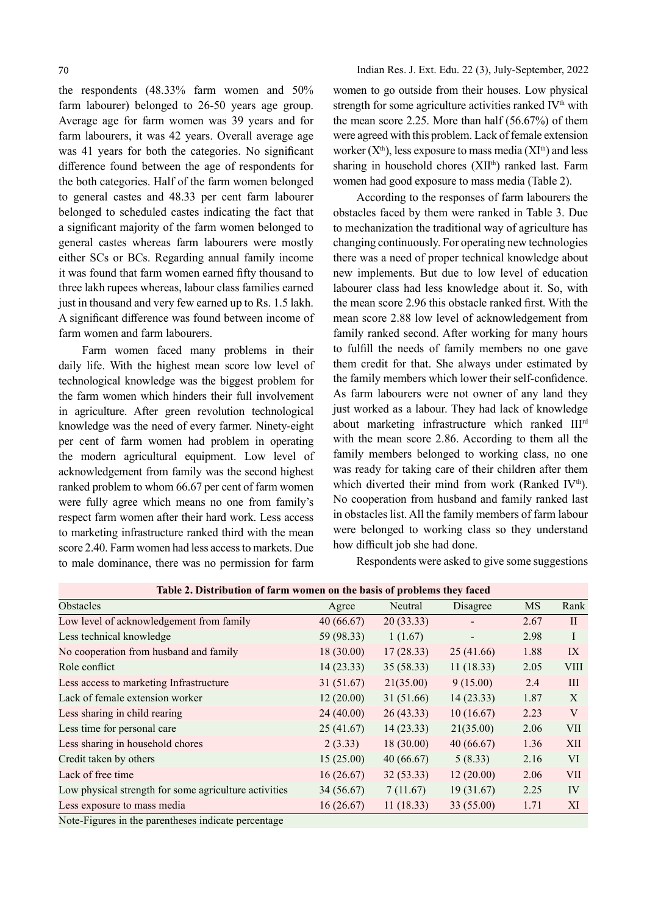the respondents (48.33% farm women and 50% farm labourer) belonged to 26-50 years age group. Average age for farm women was 39 years and for farm labourers, it was 42 years. Overall average age was 41 years for both the categories. No significant difference found between the age of respondents for the both categories. Half of the farm women belonged to general castes and 48.33 per cent farm labourer belonged to scheduled castes indicating the fact that a significant majority of the farm women belonged to general castes whereas farm labourers were mostly either SCs or BCs. Regarding annual family income it was found that farm women earned fifty thousand to three lakh rupees whereas, labour class families earned just in thousand and very few earned up to Rs. 1.5 lakh. A significant difference was found between income of farm women and farm labourers.

Farm women faced many problems in their daily life. With the highest mean score low level of technological knowledge was the biggest problem for the farm women which hinders their full involvement in agriculture. After green revolution technological knowledge was the need of every farmer. Ninety-eight per cent of farm women had problem in operating the modern agricultural equipment. Low level of acknowledgement from family was the second highest ranked problem to whom 66.67 per cent of farm women were fully agree which means no one from family's respect farm women after their hard work. Less access to marketing infrastructure ranked third with the mean score 2.40. Farm women had less access to markets. Due to male dominance, there was no permission for farm

women to go outside from their houses. Low physical strength for some agriculture activities ranked IV<sup>th</sup> with the mean score 2.25. More than half (56.67%) of them were agreed with this problem. Lack of female extension worker  $(X<sup>th</sup>)$ , less exposure to mass media  $(XI<sup>th</sup>)$  and less sharing in household chores (XII<sup>th</sup>) ranked last. Farm women had good exposure to mass media (Table 2).

According to the responses of farm labourers the obstacles faced by them were ranked in Table 3. Due to mechanization the traditional way of agriculture has changing continuously. For operating new technologies there was a need of proper technical knowledge about new implements. But due to low level of education labourer class had less knowledge about it. So, with the mean score 2.96 this obstacle ranked first. With the mean score 2.88 low level of acknowledgement from family ranked second. After working for many hours to fulfill the needs of family members no one gave them credit for that. She always under estimated by the family members which lower their self-confidence. As farm labourers were not owner of any land they just worked as a labour. They had lack of knowledge about marketing infrastructure which ranked IIIrd with the mean score 2.86. According to them all the family members belonged to working class, no one was ready for taking care of their children after them which diverted their mind from work (Ranked IV<sup>th</sup>). No cooperation from husband and family ranked last in obstacles list. All the family members of farm labour were belonged to working class so they understand how difficult job she had done.

Respondents were asked to give some suggestions

| Table 2. Distribution of farm women on the basis of problems they faced |            |           |                |           |                |  |
|-------------------------------------------------------------------------|------------|-----------|----------------|-----------|----------------|--|
| Obstacles                                                               | Agree      | Neutral   | Disagree       | <b>MS</b> | Rank           |  |
| Low level of acknowledgement from family                                | 40(66.67)  | 20(33.33) |                | 2.67      | $\mathbf{I}$   |  |
| Less technical knowledge                                                | 59 (98.33) | 1(1.67)   | $\blacksquare$ | 2.98      | I              |  |
| No cooperation from husband and family                                  | 18(30.00)  | 17(28.33) | 25(41.66)      | 1.88      | IX             |  |
| Role conflict                                                           | 14(23.33)  | 35(58.33) | 11(18.33)      | 2.05      | <b>VIII</b>    |  |
| Less access to marketing Infrastructure                                 | 31(51.67)  | 21(35.00) | 9(15.00)       | 2.4       | Ш              |  |
| Lack of female extension worker                                         | 12(20.00)  | 31(51.66) | 14(23.33)      | 1.87      | X              |  |
| Less sharing in child rearing                                           | 24(40.00)  | 26(43.33) | 10(16.67)      | 2.23      | V              |  |
| Less time for personal care                                             | 25(41.67)  | 14(23.33) | 21(35.00)      | 2.06      | <b>VII</b>     |  |
| Less sharing in household chores                                        | 2(3.33)    | 18(30.00) | 40(66.67)      | 1.36      | XII            |  |
| Credit taken by others                                                  | 15(25.00)  | 40(66.67) | 5(8.33)        | 2.16      | VI <sup></sup> |  |
| Lack of free time                                                       | 16(26.67)  | 32(53.33) | 12(20.00)      | 2.06      | <b>VII</b>     |  |
| Low physical strength for some agriculture activities                   | 34 (56.67) | 7(11.67)  | 19(31.67)      | 2.25      | IV             |  |
| Less exposure to mass media                                             | 16(26.67)  | 11(18.33) | 33 (55.00)     | 1.71      | XI             |  |

Note-Figures in the parentheses indicate percentage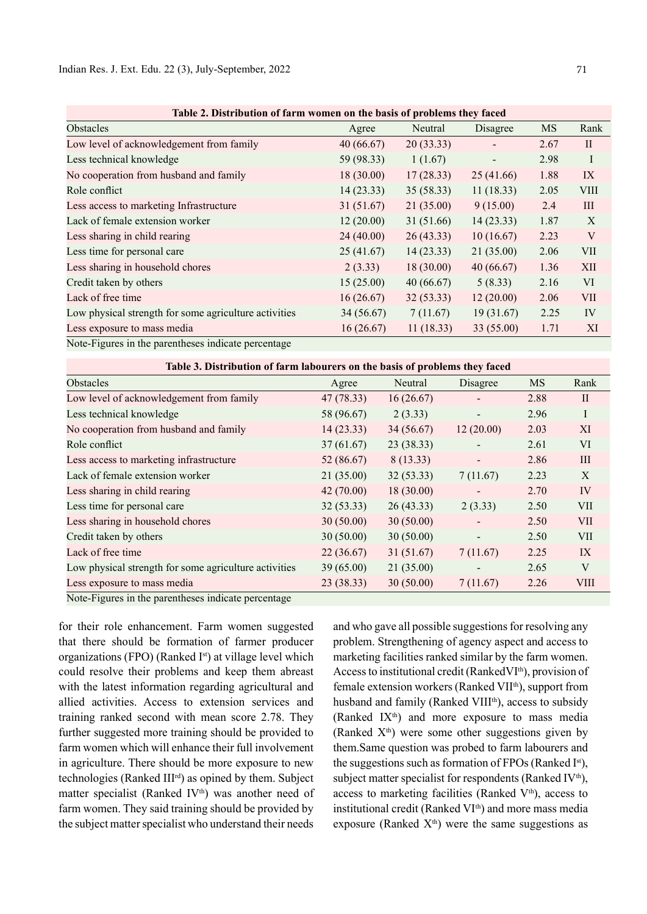| Table 2. Distribution of farm women on the basis of problems they faced |            |            |           |           |             |  |  |
|-------------------------------------------------------------------------|------------|------------|-----------|-----------|-------------|--|--|
| Obstacles                                                               | Agree      | Neutral    | Disagree  | <b>MS</b> | Rank        |  |  |
| Low level of acknowledgement from family                                | 40(66.67)  | 20(33.33)  |           | 2.67      | $\rm II$    |  |  |
| Less technical knowledge                                                | 59 (98.33) | 1(1.67)    |           | 2.98      | I           |  |  |
| No cooperation from husband and family                                  | 18(30.00)  | 17(28.33)  | 25(41.66) | 1.88      | IX          |  |  |
| Role conflict                                                           | 14(23.33)  | 35(58.33)  | 11(18.33) | 2.05      | <b>VIII</b> |  |  |
| Less access to marketing Infrastructure                                 | 31(51.67)  | 21(35.00)  | 9(15.00)  | 2.4       | III         |  |  |
| Lack of female extension worker                                         | 12(20.00)  | 31 (51.66) | 14(23.33) | 1.87      | X           |  |  |
| Less sharing in child rearing                                           | 24(40.00)  | 26(43.33)  | 10(16.67) | 2.23      | V           |  |  |
| Less time for personal care                                             | 25(41.67)  | 14(23.33)  | 21(35.00) | 2.06      | VII         |  |  |
| Less sharing in household chores                                        | 2(3.33)    | 18(30.00)  | 40(66.67) | 1.36      | XII         |  |  |
| Credit taken by others                                                  | 15(25.00)  | 40(66.67)  | 5(8.33)   | 2.16      | <b>VI</b>   |  |  |
| Lack of free time                                                       | 16(26.67)  | 32(53.33)  | 12(20.00) | 2.06      | <b>VII</b>  |  |  |
| Low physical strength for some agriculture activities                   | 34 (56.67) | 7(11.67)   | 19(31.67) | 2.25      | IV          |  |  |
| Less exposure to mass media                                             | 16(26.67)  | 11(18.33)  | 33(55.00) | 1.71      | XI          |  |  |
| Note-Figures in the parentheses indicate percentage                     |            |            |           |           |             |  |  |

Table 2. Distribution of farm women on the basis of problems they faced

| Table 3. Distribution of farm labourers on the basis of problems they faced |            |            |                          |      |              |  |  |
|-----------------------------------------------------------------------------|------------|------------|--------------------------|------|--------------|--|--|
| Obstacles                                                                   | Agree      | Neutral    | Disagree                 | MS   | Rank         |  |  |
| Low level of acknowledgement from family                                    | 47 (78.33) | 16(26.67)  |                          | 2.88 | $\mathbf{I}$ |  |  |
| Less technical knowledge                                                    | 58 (96.67) | 2(3.33)    | $\overline{\phantom{a}}$ | 2.96 | $\bf{I}$     |  |  |
| No cooperation from husband and family                                      | 14(23.33)  | 34(56.67)  | 12(20.00)                | 2.03 | XI           |  |  |
| Role conflict                                                               | 37(61.67)  | 23(38.33)  |                          | 2.61 | VI           |  |  |
| Less access to marketing infrastructure                                     | 52(86.67)  | 8 (13.33)  | $\overline{\phantom{a}}$ | 2.86 | III          |  |  |
| Lack of female extension worker                                             | 21(35.00)  | 32(53.33)  | 7(11.67)                 | 2.23 | X            |  |  |
| Less sharing in child rearing                                               | 42(70.00)  | 18(30.00)  |                          | 2.70 | IV           |  |  |
| Less time for personal care                                                 | 32(53.33)  | 26(43.33)  | 2(3.33)                  | 2.50 | VII          |  |  |
| Less sharing in household chores                                            | 30(50.00)  | 30(50.00)  |                          | 2.50 | <b>VII</b>   |  |  |
| Credit taken by others                                                      | 30(50.00)  | 30(50.00)  | $\overline{\phantom{a}}$ | 2.50 | <b>VII</b>   |  |  |
| Lack of free time                                                           | 22(36.67)  | 31 (51.67) | 7(11.67)                 | 2.25 | IX           |  |  |
| Low physical strength for some agriculture activities                       | 39(65.00)  | 21(35.00)  |                          | 2.65 | V            |  |  |
| Less exposure to mass media                                                 | 23(38.33)  | 30(50.00)  | 7(11.67)                 | 2.26 | <b>VIII</b>  |  |  |
| Note-Figures in the parentheses indicate percentage                         |            |            |                          |      |              |  |  |

for their role enhancement. Farm women suggested that there should be formation of farmer producer organizations (FPO) (Ranked I<sup>st</sup>) at village level which could resolve their problems and keep them abreast with the latest information regarding agricultural and allied activities. Access to extension services and training ranked second with mean score 2.78. They further suggested more training should be provided to farm women which will enhance their full involvement in agriculture. There should be more exposure to new technologies (Ranked III<sup>rd</sup>) as opined by them. Subject matter specialist (Ranked IV<sup>th</sup>) was another need of farm women. They said training should be provided by the subject matter specialist who understand their needs and who gave all possible suggestions for resolving any problem. Strengthening of agency aspect and access to marketing facilities ranked similar by the farm women. Access to institutional credit (RankedVI<sup>th</sup>), provision of female extension workers (Ranked VIIth), support from husband and family (Ranked VIII<sup>th</sup>), access to subsidy (Ranked  $IX<sup>th</sup>$ ) and more exposure to mass media (Ranked  $X<sup>th</sup>$ ) were some other suggestions given by them.Same question was probed to farm labourers and the suggestions such as formation of FPOs (Ranked  $I^{st}$ ), subject matter specialist for respondents (Ranked IV<sup>th</sup>), access to marketing facilities (Ranked V<sup>th</sup>), access to institutional credit (Ranked  $VI<sup>th</sup>$ ) and more mass media exposure (Ranked  $X<sup>th</sup>$ ) were the same suggestions as